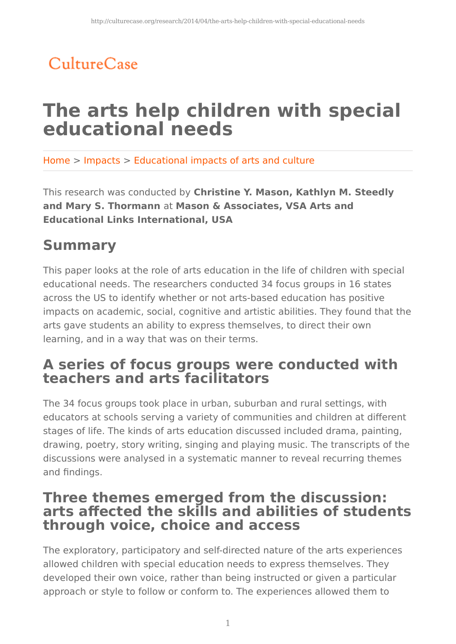## CultureCase

# **The arts help children with special educational needs**

Home > Impacts > Educational impacts of arts and culture

This research was conducted by **Christine Y. Mason, Kathlyn M. Steedly and Mary S. Thormann** at **Mason & Associates, VSA Arts and Educational Links International, USA**

## **Summary**

This paper looks at the role of arts education in the life of children with special educational needs. The researchers conducted 34 focus groups in 16 states across the US to identify whether or not arts-based education has positive impacts on academic, social, cognitive and artistic abilities. They found that the arts gave students an ability to express themselves, to direct their own learning, and in a way that was on their terms.

## **A series of focus groups were conducted with teachers and arts facilitators**

The 34 focus groups took place in urban, suburban and rural settings, with educators at schools serving a variety of communities and children at different stages of life. The kinds of arts education discussed included drama, painting, drawing, poetry, story writing, singing and playing music. The transcripts of the discussions were analysed in a systematic manner to reveal recurring themes and findings.

### **Three themes emerged from the discussion: arts affected the skills and abilities of students through voice, choice and access**

The exploratory, participatory and self-directed nature of the arts experiences allowed children with special education needs to express themselves. They developed their own voice, rather than being instructed or given a particular approach or style to follow or conform to. The experiences allowed them to